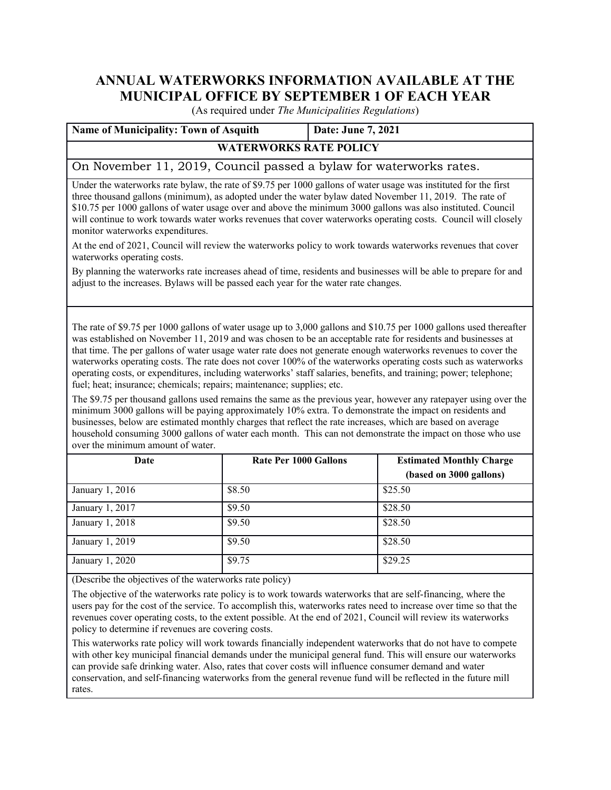## **ANNUAL WATERWORKS INFORMATION AVAILABLE AT THE MUNICIPAL OFFICE BY SEPTEMBER 1 OF EACH YEAR**

(As required under *The Municipalities Regulations*)

| <b>Name of Municipality: Town of Asquith</b>                       | Date: June 7, 2021 |  |  |  |
|--------------------------------------------------------------------|--------------------|--|--|--|
| <b>WATERWORKS RATE POLICY</b>                                      |                    |  |  |  |
| On November 11, 2019, Council passed a bylaw for waterworks rates. |                    |  |  |  |

Under the waterworks rate bylaw, the rate of \$9.75 per 1000 gallons of water usage was instituted for the first three thousand gallons (minimum), as adopted under the water bylaw dated November 11, 2019. The rate of \$10.75 per 1000 gallons of water usage over and above the minimum 3000 gallons was also instituted. Council will continue to work towards water works revenues that cover waterworks operating costs. Council will closely monitor waterworks expenditures.

At the end of 2021, Council will review the waterworks policy to work towards waterworks revenues that cover waterworks operating costs.

By planning the waterworks rate increases ahead of time, residents and businesses will be able to prepare for and adjust to the increases. Bylaws will be passed each year for the water rate changes.

The rate of \$9.75 per 1000 gallons of water usage up to 3,000 gallons and \$10.75 per 1000 gallons used thereafter was established on November 11, 2019 and was chosen to be an acceptable rate for residents and businesses at that time. The per gallons of water usage water rate does not generate enough waterworks revenues to cover the waterworks operating costs. The rate does not cover 100% of the waterworks operating costs such as waterworks operating costs, or expenditures, including waterworks' staff salaries, benefits, and training; power; telephone; fuel; heat; insurance; chemicals; repairs; maintenance; supplies; etc.

The \$9.75 per thousand gallons used remains the same as the previous year, however any ratepayer using over the minimum 3000 gallons will be paying approximately 10% extra. To demonstrate the impact on residents and businesses, below are estimated monthly charges that reflect the rate increases, which are based on average household consuming 3000 gallons of water each month. This can not demonstrate the impact on those who use over the minimum amount of water.

| Date            | <b>Rate Per 1000 Gallons</b> | <b>Estimated Monthly Charge</b> |  |
|-----------------|------------------------------|---------------------------------|--|
|                 |                              | (based on 3000 gallons)         |  |
| January 1, 2016 | \$8.50                       | \$25.50                         |  |
| January 1, 2017 | \$9.50                       | \$28.50                         |  |
| January 1, 2018 | \$9.50                       | \$28.50                         |  |
| January 1, 2019 | \$9.50                       | \$28.50                         |  |
| January 1, 2020 | \$9.75                       | \$29.25                         |  |

(Describe the objectives of the waterworks rate policy)

The objective of the waterworks rate policy is to work towards waterworks that are self-financing, where the users pay for the cost of the service. To accomplish this, waterworks rates need to increase over time so that the revenues cover operating costs, to the extent possible. At the end of 2021, Council will review its waterworks policy to determine if revenues are covering costs.

This waterworks rate policy will work towards financially independent waterworks that do not have to compete with other key municipal financial demands under the municipal general fund. This will ensure our waterworks can provide safe drinking water. Also, rates that cover costs will influence consumer demand and water conservation, and self-financing waterworks from the general revenue fund will be reflected in the future mill rates.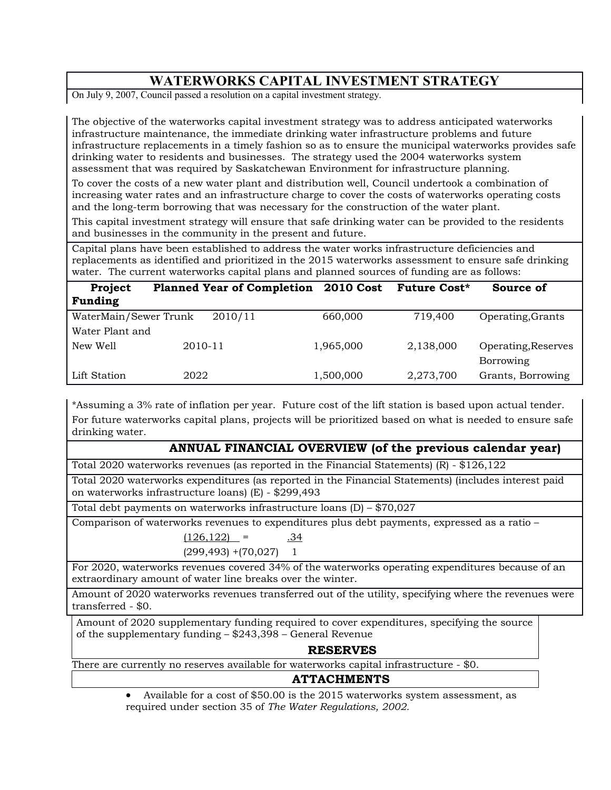# **WATERWORKS CAPITAL INVESTMENT STRATEGY**

On July 9, 2007, Council passed a resolution on a capital investment strategy.

The objective of the waterworks capital investment strategy was to address anticipated waterworks infrastructure maintenance, the immediate drinking water infrastructure problems and future infrastructure replacements in a timely fashion so as to ensure the municipal waterworks provides safe drinking water to residents and businesses. The strategy used the 2004 waterworks system assessment that was required by Saskatchewan Environment for infrastructure planning.

To cover the costs of a new water plant and distribution well, Council undertook a combination of increasing water rates and an infrastructure charge to cover the costs of waterworks operating costs and the long-term borrowing that was necessary for the construction of the water plant.

This capital investment strategy will ensure that safe drinking water can be provided to the residents and businesses in the community in the present and future.

Capital plans have been established to address the water works infrastructure deficiencies and replacements as identified and prioritized in the 2015 waterworks assessment to ensure safe drinking water. The current waterworks capital plans and planned sources of funding are as follows:

| Project               | <b>Planned Year of Completion</b> 2010 Cost |           | <b>Future Cost*</b> | Source of           |
|-----------------------|---------------------------------------------|-----------|---------------------|---------------------|
| <b>Funding</b>        |                                             |           |                     |                     |
| WaterMain/Sewer Trunk | 2010/11                                     | 660,000   | 719,400             | Operating, Grants   |
| Water Plant and       |                                             |           |                     |                     |
| New Well              | 2010-11                                     | 1,965,000 | 2,138,000           | Operating, Reserves |
|                       |                                             |           |                     | <b>Borrowing</b>    |
| Lift Station          | 2022                                        | 1,500,000 | 2,273,700           | Grants, Borrowing   |

\*Assuming a 3% rate of inflation per year. Future cost of the lift station is based upon actual tender. For future waterworks capital plans, projects will be prioritized based on what is needed to ensure safe drinking water.

### **ANNUAL FINANCIAL OVERVIEW (of the previous calendar year)**

Total 2020 waterworks revenues (as reported in the Financial Statements) (R) - \$126,122

Total 2020 waterworks expenditures (as reported in the Financial Statements) (includes interest paid on waterworks infrastructure loans) (E) - \$299,493

Total debt payments on waterworks infrastructure loans (D) – \$70,027

Comparison of waterworks revenues to expenditures plus debt payments, expressed as a ratio –

 $(126, 122)$  = .34  $(299, 493) + (70, 027)$  1

For 2020, waterworks revenues covered 34% of the waterworks operating expenditures because of an extraordinary amount of water line breaks over the winter.

Amount of 2020 waterworks revenues transferred out of the utility, specifying where the revenues were transferred - \$0.

Amount of 2020 supplementary funding required to cover expenditures, specifying the source of the supplementary funding – \$243,398 – General Revenue

### **RESERVES**

There are currently no reserves available for waterworks capital infrastructure - \$0.

### **ATTACHMENTS**

 Available for a cost of \$50.00 is the 2015 waterworks system assessment, as required under section 35 of *The Water Regulations, 2002.*